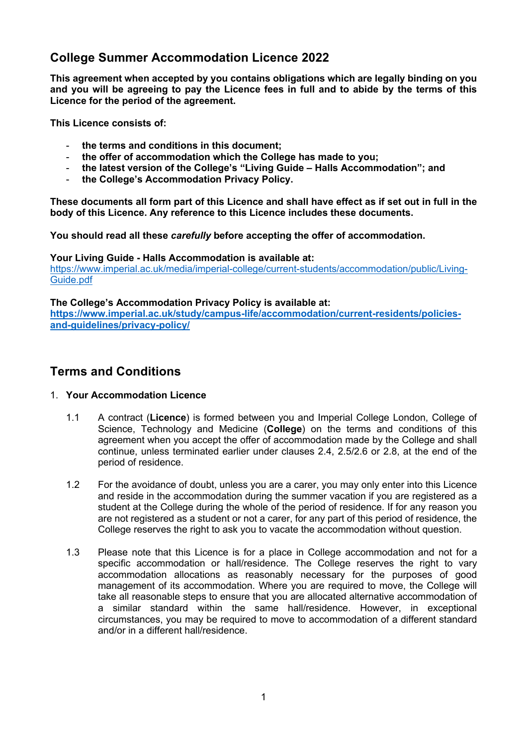# **College Summer Accommodation Licence 2022**

**This agreement when accepted by you contains obligations which are legally binding on you and you will be agreeing to pay the Licence fees in full and to abide by the terms of this Licence for the period of the agreement.** 

**This Licence consists of:**

- **the terms and conditions in this document;**
- **the offer of accommodation which the College has made to you;**
- **the latest version of the College's "Living Guide – Halls Accommodation"; and**
- **the College's Accommodation Privacy Policy.**

**These documents all form part of this Licence and shall have effect as if set out in full in the body of this Licence. Any reference to this Licence includes these documents.** 

**You should read all these** *carefully* **before accepting the offer of accommodation.**

**Your Living Guide - Halls Accommodation is available at:**

https://www.imperial.ac.uk/media/imperial-college/current-students/accommodation/public/Living-Guide.pdf

**The College's Accommodation Privacy Policy is available at: https://www.imperial.ac.uk/study/campus-life/accommodation/current-residents/policiesand-guidelines/privacy-policy/**

## **Terms and Conditions**

### 1. **Your Accommodation Licence**

- 1.1 A contract (**Licence**) is formed between you and Imperial College London, College of Science, Technology and Medicine (**College**) on the terms and conditions of this agreement when you accept the offer of accommodation made by the College and shall continue, unless terminated earlier under clauses 2.4, 2.5/2.6 or 2.8, at the end of the period of residence.
- 1.2 For the avoidance of doubt, unless you are a carer, you may only enter into this Licence and reside in the accommodation during the summer vacation if you are registered as a student at the College during the whole of the period of residence. If for any reason you are not registered as a student or not a carer, for any part of this period of residence, the College reserves the right to ask you to vacate the accommodation without question.
- 1.3 Please note that this Licence is for a place in College accommodation and not for a specific accommodation or hall/residence. The College reserves the right to vary accommodation allocations as reasonably necessary for the purposes of good management of its accommodation. Where you are required to move, the College will take all reasonable steps to ensure that you are allocated alternative accommodation of a similar standard within the same hall/residence. However, in exceptional circumstances, you may be required to move to accommodation of a different standard and/or in a different hall/residence.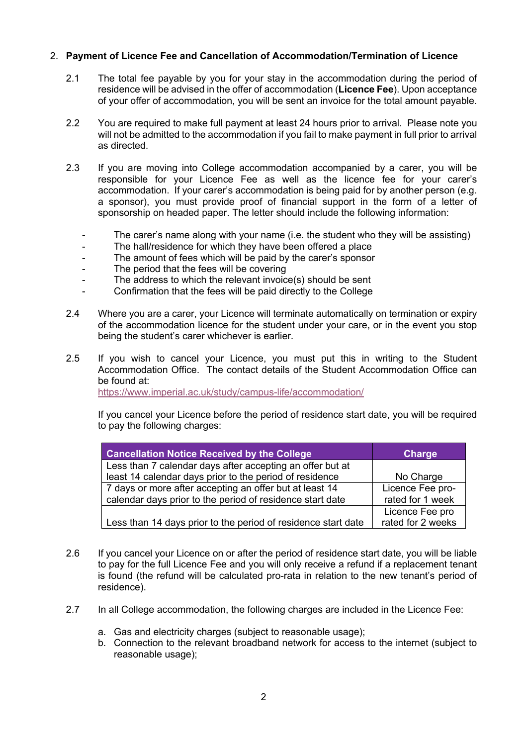### 2. **Payment of Licence Fee and Cancellation of Accommodation/Termination of Licence**

- 2.1 The total fee payable by you for your stay in the accommodation during the period of residence will be advised in the offer of accommodation (**Licence Fee**). Upon acceptance of your offer of accommodation, you will be sent an invoice for the total amount payable.
- 2.2 You are required to make full payment at least 24 hours prior to arrival. Please note you will not be admitted to the accommodation if you fail to make payment in full prior to arrival as directed.
- 2.3 If you are moving into College accommodation accompanied by a carer, you will be responsible for your Licence Fee as well as the licence fee for your carer's accommodation. If your carer's accommodation is being paid for by another person (e.g. a sponsor), you must provide proof of financial support in the form of a letter of sponsorship on headed paper. The letter should include the following information:
	- The carer's name along with your name (i.e. the student who they will be assisting)
	- The hall/residence for which they have been offered a place
	- The amount of fees which will be paid by the carer's sponsor
	- The period that the fees will be covering
	- The address to which the relevant invoice(s) should be sent
	- Confirmation that the fees will be paid directly to the College
- 2.4 Where you are a carer, your Licence will terminate automatically on termination or expiry of the accommodation licence for the student under your care, or in the event you stop being the student's carer whichever is earlier.
- 2.5 If you wish to cancel your Licence, you must put this in writing to the Student Accommodation Office. The contact details of the Student Accommodation Office can be found at:

https://www.imperial.ac.uk/study/campus-life/accommodation/

If you cancel your Licence before the period of residence start date, you will be required to pay the following charges:

| <b>Cancellation Notice Received by the College</b>            | <b>Charge</b>     |
|---------------------------------------------------------------|-------------------|
| Less than 7 calendar days after accepting an offer but at     |                   |
| least 14 calendar days prior to the period of residence       | No Charge         |
| 7 days or more after accepting an offer but at least 14       | Licence Fee pro-  |
| calendar days prior to the period of residence start date     | rated for 1 week  |
|                                                               | Licence Fee pro   |
| Less than 14 days prior to the period of residence start date | rated for 2 weeks |

- 2.6 If you cancel your Licence on or after the period of residence start date, you will be liable to pay for the full Licence Fee and you will only receive a refund if a replacement tenant is found (the refund will be calculated pro-rata in relation to the new tenant's period of residence).
- 2.7 In all College accommodation, the following charges are included in the Licence Fee:
	- a. Gas and electricity charges (subject to reasonable usage);
	- b. Connection to the relevant broadband network for access to the internet (subject to reasonable usage);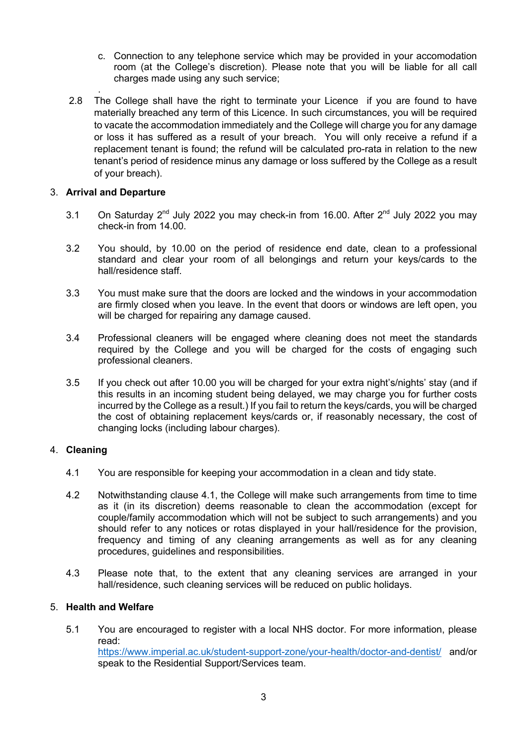- c. Connection to any telephone service which may be provided in your accomodation room (at the College's discretion). Please note that you will be liable for all call charges made using any such service;
- . 2.8 The College shall have the right to terminate your Licence if you are found to have materially breached any term of this Licence. In such circumstances, you will be required to vacate the accommodation immediately and the College will charge you for any damage or loss it has suffered as a result of your breach. You will only receive a refund if a replacement tenant is found; the refund will be calculated pro-rata in relation to the new tenant's period of residence minus any damage or loss suffered by the College as a result of your breach).

### 3. **Arrival and Departure**

- 3.1 On Saturday 2<sup>nd</sup> July 2022 you may check-in from 16.00. After 2<sup>nd</sup> July 2022 you may check-in from 14.00.
- 3.2 You should, by 10.00 on the period of residence end date, clean to a professional standard and clear your room of all belongings and return your keys/cards to the hall/residence staff.
- 3.3 You must make sure that the doors are locked and the windows in your accommodation are firmly closed when you leave. In the event that doors or windows are left open, you will be charged for repairing any damage caused.
- 3.4 Professional cleaners will be engaged where cleaning does not meet the standards required by the College and you will be charged for the costs of engaging such professional cleaners.
- 3.5 If you check out after 10.00 you will be charged for your extra night's/nights' stay (and if this results in an incoming student being delayed, we may charge you for further costs incurred by the College as a result.) If you fail to return the keys/cards, you will be charged the cost of obtaining replacement keys/cards or, if reasonably necessary, the cost of changing locks (including labour charges).

## 4. **Cleaning**

- 4.1 You are responsible for keeping your accommodation in a clean and tidy state.
- 4.2 Notwithstanding clause 4.1, the College will make such arrangements from time to time as it (in its discretion) deems reasonable to clean the accommodation (except for couple/family accommodation which will not be subject to such arrangements) and you should refer to any notices or rotas displayed in your hall/residence for the provision, frequency and timing of any cleaning arrangements as well as for any cleaning procedures, guidelines and responsibilities.
- 4.3 Please note that, to the extent that any cleaning services are arranged in your hall/residence, such cleaning services will be reduced on public holidays.

## 5. **Health and Welfare**

5.1 You are encouraged to register with a local NHS doctor. For more information, please read: https://www.imperial.ac.uk/student-support-zone/your-health/doctor-and-dentist/ and/or speak to the Residential Support/Services team.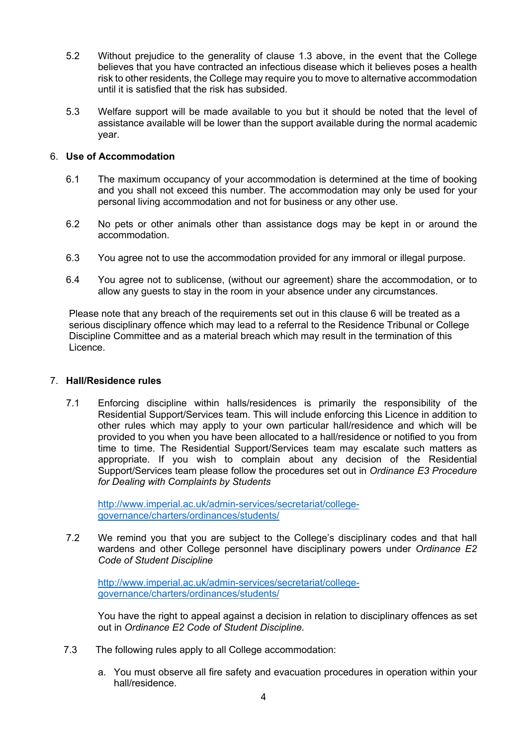- 5.2 Without prejudice to the generality of clause 1.3 above, in the event that the College believes that you have contracted an infectious disease which it believes poses a health risk to other residents, the College may require you to move to alternative accommodation until it is satisfied that the risk has subsided.
- 5.3 Welfare support will be made available to you but it should be noted that the level of assistance available will be lower than the support available during the normal academic year.

### 6. **Use of Accommodation**

- 6.1 The maximum occupancy of your accommodation is determined at the time of booking and you shall not exceed this number. The accommodation may only be used for your personal living accommodation and not for business or any other use.
- 6.2 No pets or other animals other than assistance dogs may be kept in or around the accommodation.
- 6.3 You agree not to use the accommodation provided for any immoral or illegal purpose.
- 6.4 You agree not to sublicense, (without our agreement) share the accommodation, or to allow any guests to stay in the room in your absence under any circumstances.

Please note that any breach of the requirements set out in this clause 6 will be treated as a serious disciplinary offence which may lead to a referral to the Residence Tribunal or College Discipline Committee and as a material breach which may result in the termination of this Licence.

#### 7. **Hall/Residence rules**

7.1 Enforcing discipline within halls/residences is primarily the responsibility of the Residential Support/Services team. This will include enforcing this Licence in addition to other rules which may apply to your own particular hall/residence and which will be provided to you when you have been allocated to a hall/residence or notified to you from time to time. The Residential Support/Services team may escalate such matters as appropriate. If you wish to complain about any decision of the Residential Support/Services team please follow the procedures set out in *Ordinance E3 Procedure for Dealing with Complaints by Students*

http://www.imperial.ac.uk/admin-services/secretariat/collegegovernance/charters/ordinances/students/

7.2 We remind you that you are subject to the College's disciplinary codes and that hall wardens and other College personnel have disciplinary powers under *Ordinance E2 Code of Student Discipline*

http://www.imperial.ac.uk/admin-services/secretariat/collegegovernance/charters/ordinances/students/

You have the right to appeal against a decision in relation to disciplinary offences as set out in *Ordinance E2 Code of Student Discipline*.

- 7.3 The following rules apply to all College accommodation:
	- a. You must observe all fire safety and evacuation procedures in operation within your hall/residence.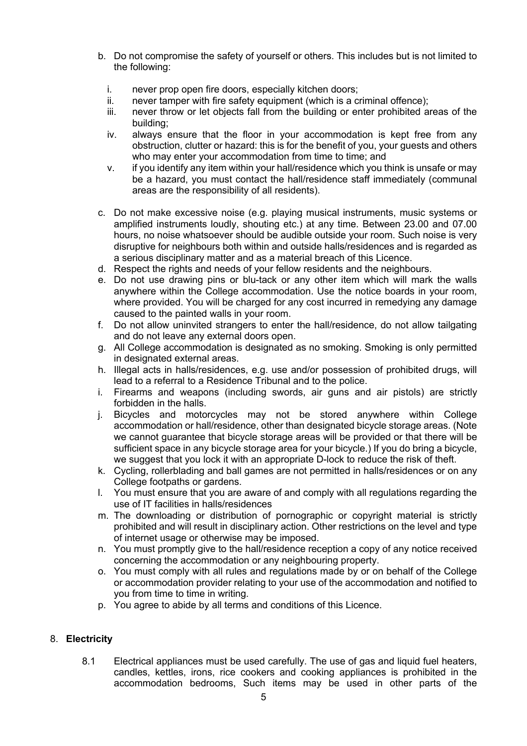- b. Do not compromise the safety of yourself or others. This includes but is not limited to the following:
	- i. never prop open fire doors, especially kitchen doors;
	- ii. never tamper with fire safety equipment (which is a criminal offence);
	- iii. never throw or let objects fall from the building or enter prohibited areas of the building;
	- iv. always ensure that the floor in your accommodation is kept free from any obstruction, clutter or hazard: this is for the benefit of you, your guests and others who may enter your accommodation from time to time; and
	- v. if you identify any item within your hall/residence which you think is unsafe or may be a hazard, you must contact the hall/residence staff immediately (communal areas are the responsibility of all residents).
- c. Do not make excessive noise (e.g. playing musical instruments, music systems or amplified instruments loudly, shouting etc.) at any time. Between 23.00 and 07.00 hours, no noise whatsoever should be audible outside your room. Such noise is very disruptive for neighbours both within and outside halls/residences and is regarded as a serious disciplinary matter and as a material breach of this Licence.
- d. Respect the rights and needs of your fellow residents and the neighbours.
- e. Do not use drawing pins or blu-tack or any other item which will mark the walls anywhere within the College accommodation. Use the notice boards in your room, where provided. You will be charged for any cost incurred in remedying any damage caused to the painted walls in your room.
- f. Do not allow uninvited strangers to enter the hall/residence, do not allow tailgating and do not leave any external doors open.
- g. All College accommodation is designated as no smoking. Smoking is only permitted in designated external areas.
- h. Illegal acts in halls/residences, e.g. use and/or possession of prohibited drugs, will lead to a referral to a Residence Tribunal and to the police.
- i. Firearms and weapons (including swords, air guns and air pistols) are strictly forbidden in the halls.
- j. Bicycles and motorcycles may not be stored anywhere within College accommodation or hall/residence, other than designated bicycle storage areas. (Note we cannot guarantee that bicycle storage areas will be provided or that there will be sufficient space in any bicycle storage area for your bicycle.) If you do bring a bicycle, we suggest that you lock it with an appropriate D-lock to reduce the risk of theft.
- k. Cycling, rollerblading and ball games are not permitted in halls/residences or on any College footpaths or gardens.
- l. You must ensure that you are aware of and comply with all regulations regarding the use of IT facilities in halls/residences
- m. The downloading or distribution of pornographic or copyright material is strictly prohibited and will result in disciplinary action. Other restrictions on the level and type of internet usage or otherwise may be imposed.
- n. You must promptly give to the hall/residence reception a copy of any notice received concerning the accommodation or any neighbouring property.
- o. You must comply with all rules and regulations made by or on behalf of the College or accommodation provider relating to your use of the accommodation and notified to you from time to time in writing.
- p. You agree to abide by all terms and conditions of this Licence.

### 8. **Electricity**

8.1 Electrical appliances must be used carefully. The use of gas and liquid fuel heaters, candles, kettles, irons, rice cookers and cooking appliances is prohibited in the accommodation bedrooms, Such items may be used in other parts of the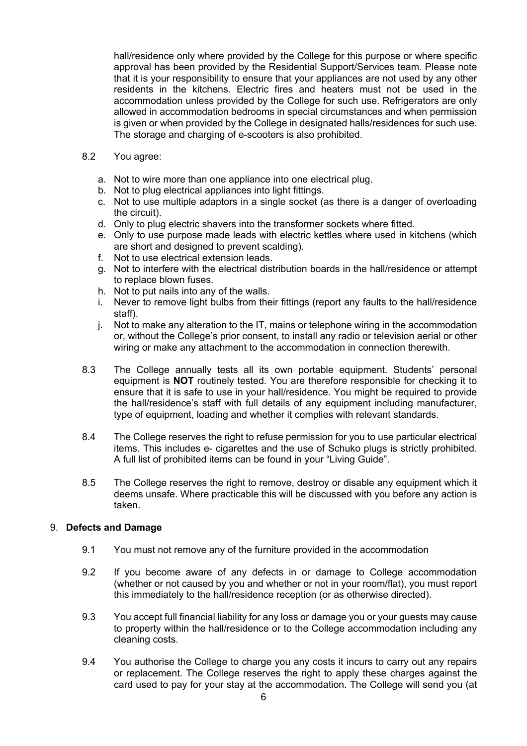hall/residence only where provided by the College for this purpose or where specific approval has been provided by the Residential Support/Services team. Please note that it is your responsibility to ensure that your appliances are not used by any other residents in the kitchens. Electric fires and heaters must not be used in the accommodation unless provided by the College for such use. Refrigerators are only allowed in accommodation bedrooms in special circumstances and when permission is given or when provided by the College in designated halls/residences for such use. The storage and charging of e-scooters is also prohibited.

### 8.2 You agree:

- a. Not to wire more than one appliance into one electrical plug.
- b. Not to plug electrical appliances into light fittings.
- c. Not to use multiple adaptors in a single socket (as there is a danger of overloading the circuit).
- d. Only to plug electric shavers into the transformer sockets where fitted.
- e. Only to use purpose made leads with electric kettles where used in kitchens (which are short and designed to prevent scalding).
- f. Not to use electrical extension leads.
- g. Not to interfere with the electrical distribution boards in the hall/residence or attempt to replace blown fuses.
- h. Not to put nails into any of the walls.
- i. Never to remove light bulbs from their fittings (report any faults to the hall/residence staff).
- j. Not to make any alteration to the IT, mains or telephone wiring in the accommodation or, without the College's prior consent, to install any radio or television aerial or other wiring or make any attachment to the accommodation in connection therewith.
- 8.3 The College annually tests all its own portable equipment. Students' personal equipment is **NOT** routinely tested. You are therefore responsible for checking it to ensure that it is safe to use in your hall/residence. You might be required to provide the hall/residence's staff with full details of any equipment including manufacturer, type of equipment, loading and whether it complies with relevant standards.
- 8.4 The College reserves the right to refuse permission for you to use particular electrical items. This includes e- cigarettes and the use of Schuko plugs is strictly prohibited. A full list of prohibited items can be found in your "Living Guide".
- 8.5 The College reserves the right to remove, destroy or disable any equipment which it deems unsafe. Where practicable this will be discussed with you before any action is taken.

## 9. **Defects and Damage**

- 9.1 You must not remove any of the furniture provided in the accommodation
- 9.2 If you become aware of any defects in or damage to College accommodation (whether or not caused by you and whether or not in your room/flat), you must report this immediately to the hall/residence reception (or as otherwise directed).
- 9.3 You accept full financial liability for any loss or damage you or your guests may cause to property within the hall/residence or to the College accommodation including any cleaning costs.
- 9.4 You authorise the College to charge you any costs it incurs to carry out any repairs or replacement. The College reserves the right to apply these charges against the card used to pay for your stay at the accommodation. The College will send you (at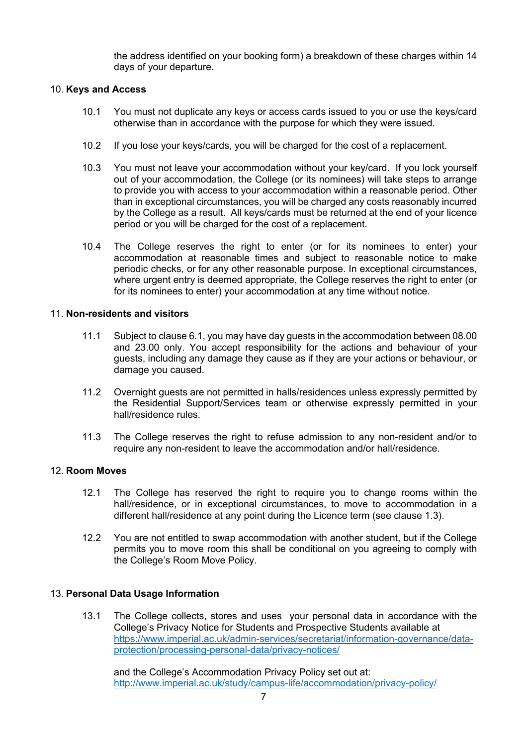the address identified on your booking form) a breakdown of these charges within 14 days of your departure.

### 10. **Keys and Access**

- 10.1 You must not duplicate any keys or access cards issued to you or use the keys/card otherwise than in accordance with the purpose for which they were issued.
- 10.2 If you lose your keys/cards, you will be charged for the cost of a replacement.
- 10.3 You must not leave your accommodation without your key/card. If you lock yourself out of your accommodation, the College (or its nominees) will take steps to arrange to provide you with access to your accommodation within a reasonable period. Other than in exceptional circumstances, you will be charged any costs reasonably incurred by the College as a result. All keys/cards must be returned at the end of your licence period or you will be charged for the cost of a replacement.
- 10.4 The College reserves the right to enter (or for its nominees to enter) your accommodation at reasonable times and subject to reasonable notice to make periodic checks, or for any other reasonable purpose. In exceptional circumstances, where urgent entry is deemed appropriate, the College reserves the right to enter (or for its nominees to enter) your accommodation at any time without notice.

### 11. **Non-residents and visitors**

- 11.1 Subject to clause 6.1, you may have day guests in the accommodation between 08.00 and 23.00 only. You accept responsibility for the actions and behaviour of your guests, including any damage they cause as if they are your actions or behaviour, or damage you caused.
- 11.2 Overnight guests are not permitted in halls/residences unless expressly permitted by the Residential Support/Services team or otherwise expressly permitted in your hall/residence rules.
- 11.3 The College reserves the right to refuse admission to any non-resident and/or to require any non-resident to leave the accommodation and/or hall/residence.

### 12. **Room Moves**

- 12.1 The College has reserved the right to require you to change rooms within the hall/residence, or in exceptional circumstances, to move to accommodation in a different hall/residence at any point during the Licence term (see clause 1.3).
- 12.2 You are not entitled to swap accommodation with another student, but if the College permits you to move room this shall be conditional on you agreeing to comply with the College's Room Move Policy.

### 13. **Personal Data Usage Information**

13.1 The College collects, stores and uses your personal data in accordance with the College's Privacy Notice for Students and Prospective Students available at https://www.imperial.ac.uk/admin-services/secretariat/information-governance/dataprotection/processing-personal-data/privacy-notices/

and the College's Accommodation Privacy Policy set out at: http://www.imperial.ac.uk/study/campus-life/accommodation/privacy-policy/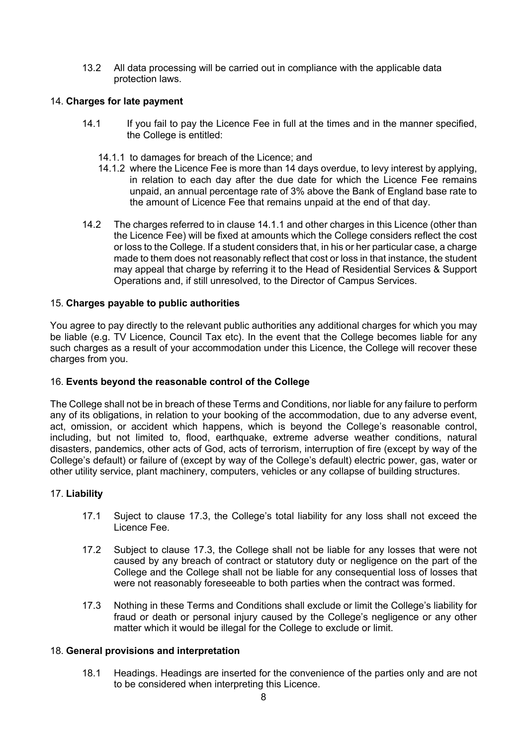13.2 All data processing will be carried out in compliance with the applicable data protection laws.

### 14. **Charges for late payment**

- 14.1 If you fail to pay the Licence Fee in full at the times and in the manner specified, the College is entitled:
	- 14.1.1 to damages for breach of the Licence; and
	- 14.1.2 where the Licence Fee is more than 14 days overdue, to levy interest by applying, in relation to each day after the due date for which the Licence Fee remains unpaid, an annual percentage rate of 3% above the Bank of England base rate to the amount of Licence Fee that remains unpaid at the end of that day.
- 14.2 The charges referred to in clause 14.1.1 and other charges in this Licence (other than the Licence Fee) will be fixed at amounts which the College considers reflect the cost or loss to the College. If a student considers that, in his or her particular case, a charge made to them does not reasonably reflect that cost or loss in that instance, the student may appeal that charge by referring it to the Head of Residential Services & Support Operations and, if still unresolved, to the Director of Campus Services.

### 15. **Charges payable to public authorities**

You agree to pay directly to the relevant public authorities any additional charges for which you may be liable (e.g. TV Licence, Council Tax etc). In the event that the College becomes liable for any such charges as a result of your accommodation under this Licence, the College will recover these charges from you.

### 16. **Events beyond the reasonable control of the College**

The College shall not be in breach of these Terms and Conditions, nor liable for any failure to perform any of its obligations, in relation to your booking of the accommodation, due to any adverse event, act, omission, or accident which happens, which is beyond the College's reasonable control, including, but not limited to, flood, earthquake, extreme adverse weather conditions, natural disasters, pandemics, other acts of God, acts of terrorism, interruption of fire (except by way of the College's default) or failure of (except by way of the College's default) electric power, gas, water or other utility service, plant machinery, computers, vehicles or any collapse of building structures.

### 17. **Liability**

- 17.1 Suject to clause 17.3, the College's total liability for any loss shall not exceed the Licence Fee.
- 17.2 Subject to clause 17.3, the College shall not be liable for any losses that were not caused by any breach of contract or statutory duty or negligence on the part of the College and the College shall not be liable for any consequential loss of losses that were not reasonably foreseeable to both parties when the contract was formed.
- 17.3 Nothing in these Terms and Conditions shall exclude or limit the College's liability for fraud or death or personal injury caused by the College's negligence or any other matter which it would be illegal for the College to exclude or limit.

### 18. **General provisions and interpretation**

18.1 Headings. Headings are inserted for the convenience of the parties only and are not to be considered when interpreting this Licence.